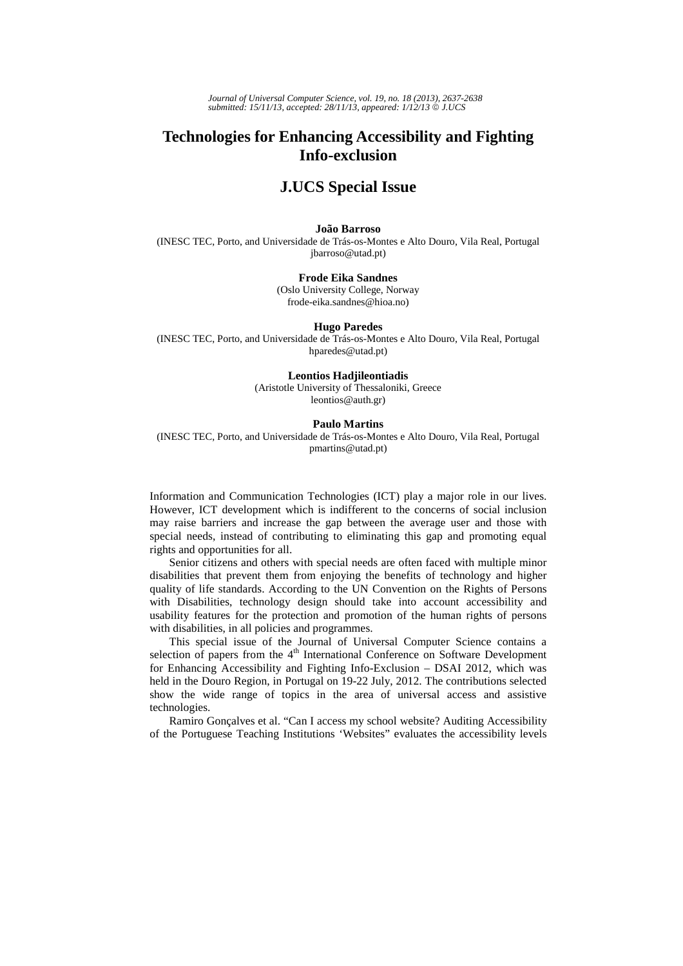*Journal of Universal Computer Science, vol. 19, no. 18 (2013), 2637-2638 submitted: 15/11/13, accepted: 28/11/13, appeared: 1/12/13* © *J.UCS*

# **Technologies for Enhancing Accessibility and Fighting Info-exclusion**

# **J.UCS Special Issue**

### **João Barroso**

(INESC TEC, Porto, and Universidade de Trás-os-Montes e Alto Douro, Vila Real, Portugal jbarroso@utad.pt)

# **Frode Eika Sandnes**

(Oslo University College, Norway frode-eika.sandnes@hioa.no)

## **Hugo Paredes**

(INESC TEC, Porto, and Universidade de Trás-os-Montes e Alto Douro, Vila Real, Portugal hparedes@utad.pt)

#### **Leontios Hadjileontiadis**

(Aristotle University of Thessaloniki, Greece leontios@auth.gr)

### **Paulo Martins**

(INESC TEC, Porto, and Universidade de Trás-os-Montes e Alto Douro, Vila Real, Portugal pmartins@utad.pt)

Information and Communication Technologies (ICT) play a major role in our lives. However, ICT development which is indifferent to the concerns of social inclusion may raise barriers and increase the gap between the average user and those with special needs, instead of contributing to eliminating this gap and promoting equal rights and opportunities for all.

Senior citizens and others with special needs are often faced with multiple minor disabilities that prevent them from enjoying the benefits of technology and higher quality of life standards. According to the UN Convention on the Rights of Persons with Disabilities, technology design should take into account accessibility and usability features for the protection and promotion of the human rights of persons with disabilities, in all policies and programmes.

This special issue of the Journal of Universal Computer Science contains a selection of papers from the  $4<sup>th</sup>$  International Conference on Software Development for Enhancing Accessibility and Fighting Info-Exclusion – DSAI 2012, which was held in the Douro Region, in Portugal on 19-22 July, 2012. The contributions selected show the wide range of topics in the area of universal access and assistive technologies.

Ramiro Gonçalves et al. "Can I access my school website? Auditing Accessibility of the Portuguese Teaching Institutions 'Websites" evaluates the accessibility levels